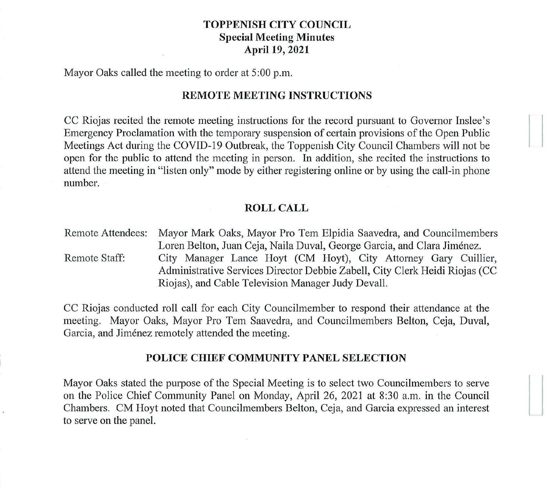## **TOPPENISH CITY COUNCIL Special Meeting Minutes April 19, 2021**

Mayor Oaks called the meeting to order at 5:00 p.m.

# **REMOTE MEETING INSTRUCTIONS**

CC Riojas recited the remote meeting instructions for the record pursuant to Governor Inslee's Emergency Proclamation with the temporary suspension of certain provisions of the Open Public Meetings Act during the COVID-19 Outbreak, the Toppenish City Council Chambers will not be open for the public to attend the meeting in person. In addition, she recited the instructions to attend the meeting in "listen only" mode by either registering online or by using the call-in phone number.

### **ROLL CALL**

Remote Attendees: Mayor Mark Oaks, Mayor Pro Tem Elpidia Saavedra, and Councilmembers Loren Belton, Juan Ceja, Naila Duval, George Garcia, and Clara Jimenez. Remote Staff: City Manager Lance Hoyt (CM Hoyt), City Attorney Gary Cuillier, Administrative Services Director Debbie Zabell, City Clerk Heidi Riojas (CC Riojas), and Cable Television Manager Judy Devall.

CC Riojas conducted roll call for each City Councilmember to respond their attendance at the meeting. Mayor Oaks, Mayor Pro Tem Saavedra, and Councilmembers Belton, Ceja, Duval, Garcia, and Jiménez remotely attended the meeting.

#### **POLICE CHIEF COMMUNITY PANEL SELECTION**

Mayor Oaks stated the purpose of the Special Meeting is to select two Councilmembers to serve on the Police Chief Community Panel on Monday, April 26, 2021 at 8:30 a.m. in the Council Chambers. CM Hoyt noted that Councilmembers Belton, Ceja, and Garcia expressed an interest to serve on the panel.